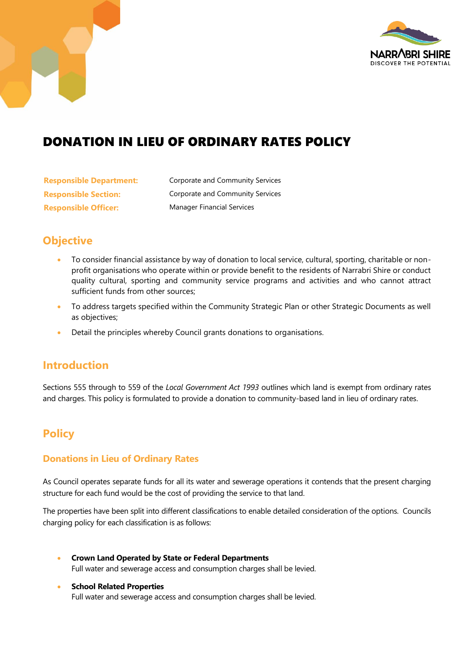

# DONATION IN LIEU OF ORDINARY RATES POLICY

| <b>Responsible Department:</b> | Corporate and Community Services |
|--------------------------------|----------------------------------|
| <b>Responsible Section:</b>    | Corporate and Community Services |
| <b>Responsible Officer:</b>    | Manager Financial Services       |

## **Objective**

- To consider financial assistance by way of donation to local service, cultural, sporting, charitable or nonprofit organisations who operate within or provide benefit to the residents of Narrabri Shire or conduct quality cultural, sporting and community service programs and activities and who cannot attract sufficient funds from other sources;
- To address targets specified within the Community Strategic Plan or other Strategic Documents as well as objectives;
- Detail the principles whereby Council grants donations to organisations.

## **Introduction**

Sections 555 through to 559 of the *Local Government Act 1993* outlines which land is exempt from ordinary rates and charges. This policy is formulated to provide a donation to community-based land in lieu of ordinary rates.

## **Policy**

### **Donations in Lieu of Ordinary Rates**

As Council operates separate funds for all its water and sewerage operations it contends that the present charging structure for each fund would be the cost of providing the service to that land.

The properties have been split into different classifications to enable detailed consideration of the options. Councils charging policy for each classification is as follows:

- **Crown Land Operated by State or Federal Departments** Full water and sewerage access and consumption charges shall be levied.
- **School Related Properties** Full water and sewerage access and consumption charges shall be levied.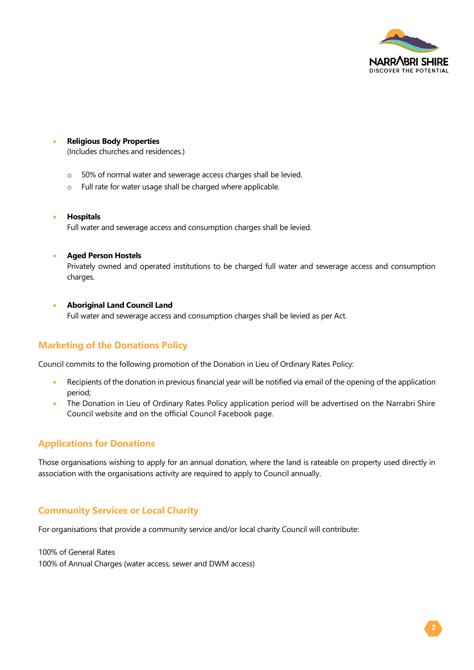

#### • **Religious Body Properties**

(Includes churches and residences.)

- o 50% of normal water and sewerage access charges shall be levied.
- o Full rate for water usage shall be charged where applicable.

#### • **Hospitals**

Full water and sewerage access and consumption charges shall be levied.

#### • **Aged Person Hostels**

Privately owned and operated institutions to be charged full water and sewerage access and consumption charges.

#### • **Aboriginal Land Council Land**

Full water and sewerage access and consumption charges shall be levied as per Act.

### **Marketing of the Donations Policy**

Council commits to the following promotion of the Donation in Lieu of Ordinary Rates Policy:

- Recipients of the donation in previous financial year will be notified via email of the opening of the application period;
- The Donation in Lieu of Ordinary Rates Policy application period will be advertised on the Narrabri Shire Council website and on the official Council Facebook page.

### **Applications for Donations**

Those organisations wishing to apply for an annual donation, where the land is rateable on property used directly in association with the organisations activity are required to apply to Council annually.

### **Community Services or Local Charity**

For organisations that provide a community service and/or local charity Council will contribute:

100% of General Rates 100% of Annual Charges (water access, sewer and DWM access)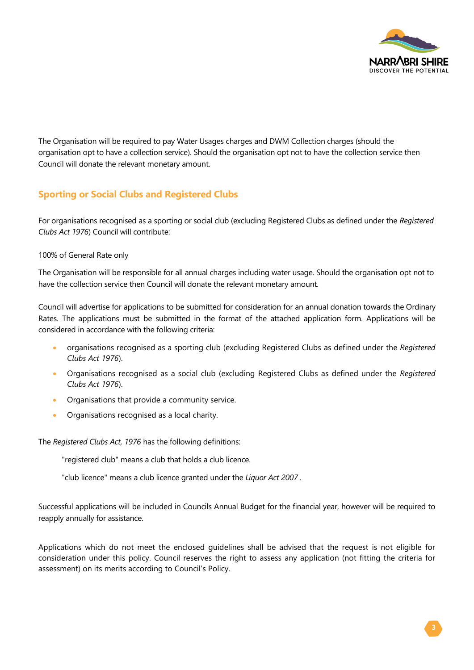

The Organisation will be required to pay Water Usages charges and DWM Collection charges (should the organisation opt to have a collection service). Should the organisation opt not to have the collection service then Council will donate the relevant monetary amount.

## **Sporting or Social Clubs and Registered Clubs**

For organisations recognised as a sporting or social club (excluding Registered Clubs as defined under the *Registered Clubs Act 1976*) Council will contribute:

### 100% of General Rate only

The Organisation will be responsible for all annual charges including water usage. Should the organisation opt not to have the collection service then Council will donate the relevant monetary amount.

Council will advertise for applications to be submitted for consideration for an annual donation towards the Ordinary Rates. The applications must be submitted in the format of the attached application form. Applications will be considered in accordance with the following criteria:

- organisations recognised as a sporting club (excluding Registered Clubs as defined under the *Registered Clubs Act 1976*).
- Organisations recognised as a social club (excluding Registered Clubs as defined under the *Registered Clubs Act 1976*).
- Organisations that provide a community service.
- Organisations recognised as a local charity.

The *Registered Clubs Act, 1976* has the following definitions:

"registered club" means a club that holds a [club licence.](http://www.austlii.edu.au/au/legis/nsw/consol_act/rca1976173/s4.html#club_licence)

"club licence" means [a club licence](http://www.austlii.edu.au/au/legis/nsw/consol_act/rca1976173/s4.html#club_licence) granted under the *[Liquor Act 2007](http://www.austlii.edu.au/au/legis/nsw/consol_act/la2007107/) .*

Successful applications will be included in Councils Annual Budget for the financial year, however will be required to reapply annually for assistance.

Applications which do not meet the enclosed guidelines shall be advised that the request is not eligible for consideration under this policy. Council reserves the right to assess any application (not fitting the criteria for assessment) on its merits according to Council's Policy.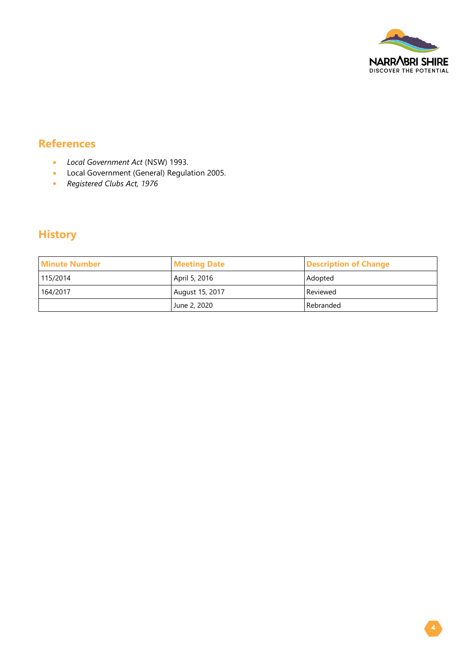

## **References**

- *Local Government Act* (NSW) 1993.
- Local Government (General) Regulation 2005.
- *Registered Clubs Act, 1976*

# **History**

| <b>Minute Number</b> | <b>Meeting Date</b> | <b>Description of Change</b> |
|----------------------|---------------------|------------------------------|
| 115/2014             | April 5, 2016       | Adopted                      |
| 164/2017             | August 15, 2017     | <b>Reviewed</b>              |
|                      | June 2, 2020        | Rebranded                    |